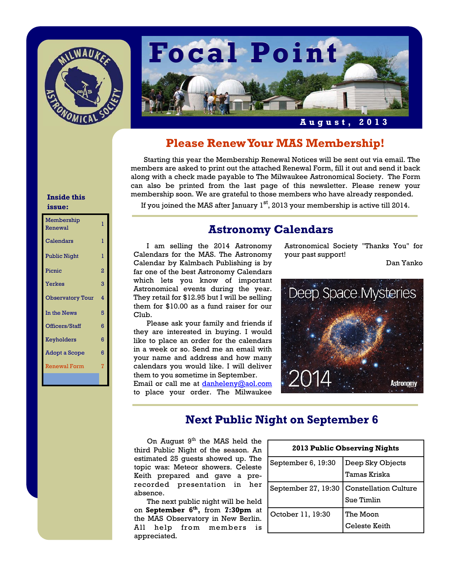



### **Please Renew Your MAS Membership!**

 Starting this year the Membership Renewal Notices will be sent out via email. The members are asked to print out the attached Renewal Form, fill it out and send it back along with a check made payable to The Milwaukee Astronomical Society. The Form can also be printed from the last page of this newsletter. Please renew your membership soon. We are grateful to those members who have already responded.

If you joined the MAS after January  $1<sup>st</sup>$ , 2013 your membership is active till 2014.

### **Astronomy Calendars**

 I am selling the 2014 Astronomy Calendars for the MAS. The Astronomy Calendar by Kalmbach Publishing is by far one of the best Astronomy Calendars which lets you know of important Astronomical events during the year. They retail for \$12.95 but I will be selling them for \$10.00 as a fund raiser for our Club.

 Please ask your family and friends if they are interested in buying. I would like to place an order for the calendars in a week or so. Send me an email with your name and address and how many calendars you would like. I will deliver them to you sometime in September. Email or call me at danheleny@aol.com to place your order. The Milwaukee Astronomical Society "Thanks You" for your past support!

Dan Yanko



### **Next Public Night on September 6**

On August  $9<sup>th</sup>$  the MAS held the  $\Gamma$ third Public Night of the season. An estimated 25 guests showed up. The topic was: Meteor showers. Celeste Keith prepared and gave a prerecorded presentation in her absence.

 The next public night will be held on **September 6th,** from **7:30pm** at the MAS Observatory in New Berlin. All help from members is appreciated.

| 2013 Public Observing Nights |                              |
|------------------------------|------------------------------|
| September 6, 19:30           | Deep Sky Objects             |
|                              | Tamas Kriska                 |
| September 27, 19:30          | <b>Constellation Culture</b> |
|                              | Sue Timlin                   |
| October 11, 19:30            | The Moon                     |
|                              | Celeste Keith                |

#### **Inside this issue:**

| Membership<br>Renewal   | ı |
|-------------------------|---|
| Calendars               | T |
| <b>Public Night</b>     | ı |
| Picnic                  | 2 |
| <b>Yerkes</b>           | 3 |
| <b>Observatory Tour</b> | 4 |
| In the News             | 5 |
| Officers/Staff          | 6 |
| Keyholders              | 6 |
| <b>Adopt a Scope</b>    | 6 |
| <b>Renewal Form</b>     | 7 |
|                         |   |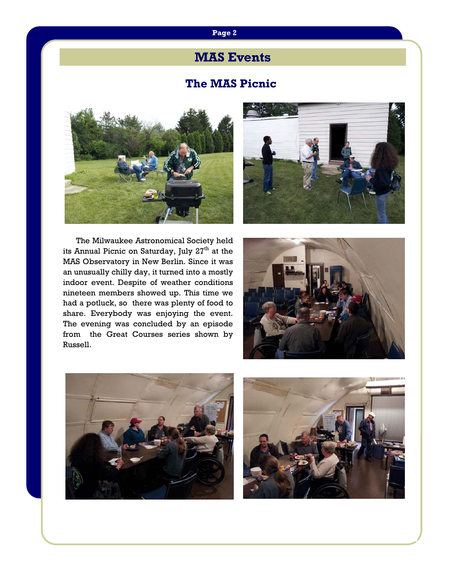### **Page 2**

## **MAS Events**

### **The MAS Picnic**





The Milwaukee Astronomical Society held its Annual Picnic on Saturday, July 27<sup>th</sup> at the MAS Observatory in New Berlin. Since it was an unusually chilly day, it turned into a mostly indoor event. Despite of weather conditions nineteen members showed up. This time we had a potluck, so there was plenty of food to share. Everybody was enjoying the event. The evening was concluded by an episode from the Great Courses series shown by Russell.





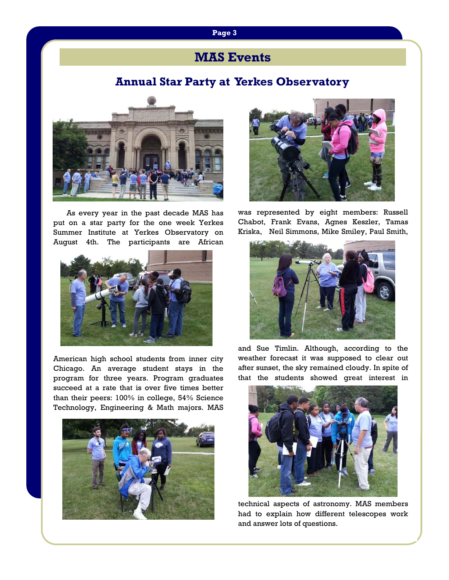# **Page 3**

## **MAS Events**

### **Annual Star Party at Yerkes Observatory**



As every year in the past decade MAS has put on a star party for the one week Yerkes Summer Institute at Yerkes Observatory on August 4th. The participants are African



American high school students from inner city Chicago. An average student stays in the program for three years. Program graduates succeed at a rate that is over five times better than their peers: 100% in college, 54% Science Technology, Engineering & Math majors. MAS





was represented by eight members: Russell Chabot, Frank Evans, Agnes Keszler, Tamas Kriska, Neil Simmons, Mike Smiley, Paul Smith,



and Sue Timlin. Although, according to the weather forecast it was supposed to clear out after sunset, the sky remained cloudy. In spite of that the students showed great interest in



technical aspects of astronomy. MAS members had to explain how different telescopes work and answer lots of questions.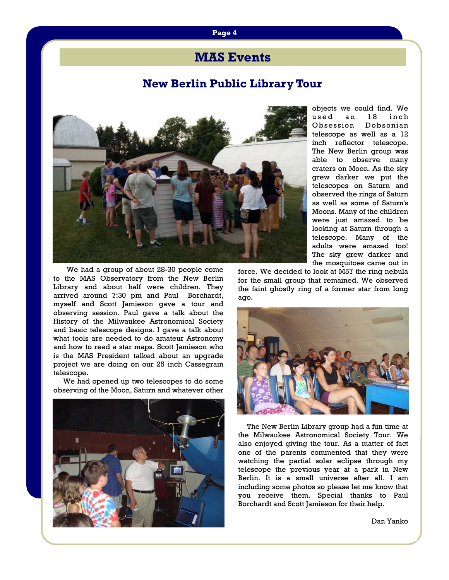### **MAS Events**

### **New Berlin Public Library Tour**



 We had a group of about 28-30 people come to the MAS Observatory from the New Berlin Library and about half were children. They arrived around 7:30 pm and Paul Borchardt, myself and Scott Jamieson gave a tour and observing session. Paul gave a talk about the History of the Milwaukee Astronomical Society and basic telescope designs. I gave a talk about what tools are needed to do amateur Astronomy and how to read a star maps. Scott Jamieson who is the MAS President talked about an upgrade project we are doing on our 25 inch Cassegrain telescope.

 We had opened up two telescopes to do some observing of the Moon, Saturn and whatever other



objects we could find. We used an 18 inch Obsession Dobsonian telescope as well as a 12 inch reflector telescope. The New Berlin group was able to observe many craters on Moon. As the sky grew darker we put the telescopes on Saturn and observed the rings of Saturn as well as some of Saturn's Moons. Many of the children were just amazed to be looking at Saturn through a telescope. Many of the adults were amazed too! The sky grew darker and the mosquitoes came out in

force. We decided to look at M57 the ring nebula for the small group that remained. We observed the faint ghostly ring of a former star from long ago.



 The New Berlin Library group had a fun time at the Milwaukee Astronomical Society Tour. We also enjoyed giving the tour. As a matter of fact one of the parents commented that they were watching the partial solar eclipse through my telescope the previous year at a park in New Berlin. It is a small universe after all. I am including some photos so please let me know that you receive them. Special thanks to Paul Borchardt and Scott Jamieson for their help.

Dan Yanko

#### **Page 4**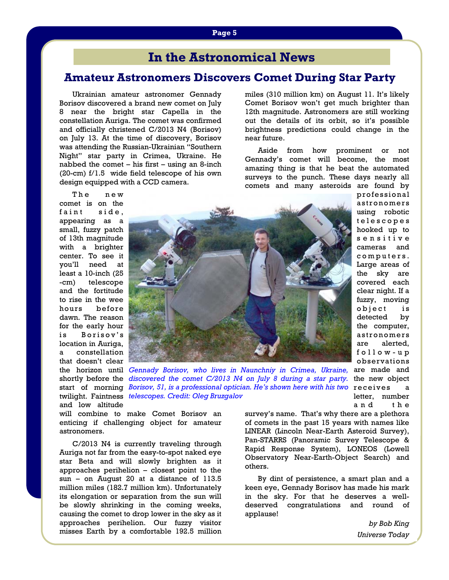## **In the Astronomical News**

### **Amateur Astronomers Discovers Comet During Star Party**

Ukrainian amateur astronomer Gennady Borisov discovered a brand new comet on July 8 near the bright star Capella in the constellation Auriga. The comet was confirmed and officially christened C/2013 N4 (Borisov) on July 13. At the time of discovery, Borisov was attending the Russian-Ukrainian "Southern Night" star party in Crimea, Ukraine. He nabbed the comet – his first – using an 8-inch (20-cm) f/1.5 wide field telescope of his own design equipped with a CCD camera.

miles (310 million km) on August 11. It's likely Comet Borisov won't get much brighter than 12th magnitude. Astronomers are still working out the details of its orbit, so it's possible brightness predictions could change in the near future.

 Aside from how prominent or not Gennady's comet will become, the most amazing thing is that he beat the automated surveys to the punch. These days nearly all comets and many asteroids are found by

> professional a stronomers using robotic t e l e s c o p e s hooked up to s e n s i t i v e cameras and c o m p u t e r s . Large areas of the sky are covered each clear night. If a fuzzy, moving object is detected by the computer, a stronomers are alerted, f o l l o w - u p observations

The new comet is on the faint side, appearing as a small, fuzzy patch of 13th magnitude with a brighter center. To see it you'll need at least a 10-inch (25 -cm) telescope and the fortitude to rise in the wee hours before dawn. The reason for the early hour is Borisov's location in Auriga, a constellation that doesn't clear and low altitude



the horizon until *Gennady Borisov, who lives in Naunchniy in Crimea, Ukraine,* are made and shortly before the *discovered the comet C/2013 N4 on July 8 during a star party*. the new object start of morning *Borisov, 51, is a professional optician. He's shown here with his two* receives a twilight. Faintness *telescopes. Credit: Oleg Bruzgalov*letter, number

will combine to make Comet Borisov an enticing if challenging object for amateur astronomers.

 C/2013 N4 is currently traveling through Auriga not far from the easy-to-spot naked eye star Beta and will slowly brighten as it approaches perihelion – closest point to the sun – on August 20 at a distance of 113.5 million miles (182.7 million km). Unfortunately its elongation or separation from the sun will be slowly shrinking in the coming weeks, causing the comet to drop lower in the sky as it approaches perihelion. Our fuzzy visitor misses Earth by a comfortable 192.5 million survey's name. That's why there are a plethora of comets in the past 15 years with names like LINEAR (Lincoln Near-Earth Asteroid Survey), Pan-STARRS (Panoramic Survey Telescope & Rapid Response System), LONEOS (Lowell Observatory Near-Earth-Object Search) and others.

 By dint of persistence, a smart plan and a keen eye, Gennady Borisov has made his mark in the sky. For that he deserves a welldeserved congratulations and round of applause!

> *by Bob King Universe Today*

and the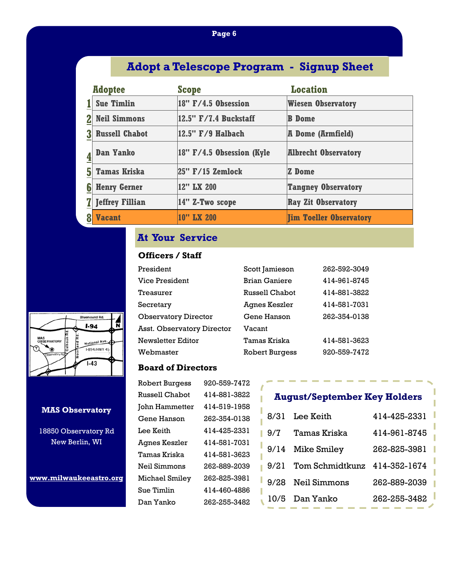### **Page 6**

## **Adopt a Telescope Program - Signup Sheet**

|   | <b>Adoptee</b>         | <b>Scope</b>                  | <b>Location</b>                |
|---|------------------------|-------------------------------|--------------------------------|
|   | <b>Sue Timlin</b>      | $18"$ F/4.5 Obsession         | <b>Wiesen Observatory</b>      |
|   | <b>Neil Simmons</b>    | 12.5" F/7.4 Buckstaff         | <b>B</b> Dome                  |
|   | <b>Russell Chabot</b>  | $ 12.5"$ $F/9$ Halbach        | <b>A Dome (Armfield)</b>       |
|   | <b>Dan Yanko</b>       | $ 18"$ F/4.5 Obsession (Kyle) | <b>Albrecht Observatory</b>    |
| 5 | <b>Tamas Kriska</b>    | $ 25"$ F/15 Zemlock           | <b>Z</b> Dome                  |
| 6 | <b>Henry Gerner</b>    | 12" LX 200                    | <b>Tangney Observatory</b>     |
|   | <b>Jeffrey Fillian</b> | $ 14"$ Z-Two scope            | <b>Ray Zit Observatory</b>     |
|   | <b>Vacant</b>          | 10" LX 200                    | <b>Jim Toeller Observatory</b> |

### **At Your Service**

### **Officers / Staff**

| President                   | Scott Jamieson        | 262-592-3049 |
|-----------------------------|-----------------------|--------------|
| Vice President              | <b>Brian Ganiere</b>  | 414-961-8745 |
| Treasurer                   | Russell Chabot        | 414-881-3822 |
| Secretary                   | Agnes Keszler         | 414-581-7031 |
| <b>Observatory Director</b> | Gene Hanson           | 262-354-0138 |
| Asst. Observatory Director  | Vacant                |              |
| Newsletter Editor           | Tamas Kriska          | 414-581-3623 |
| Webmaster                   | <b>Robert Burgess</b> | 920-559-7472 |

### **Board of Directors**

| <b>Robert Burgess</b> | 920-559-7472 |
|-----------------------|--------------|
| <b>Russell Chabot</b> | 414-881-3822 |
| John Hammetter        | 414-519-1958 |
| Gene Hanson           | 262-354-0138 |
| Lee Keith             | 414-425-2331 |
| Agnes Keszler         | 414-581-7031 |
| Tamas Kriska          | 414-581-3623 |
| Neil Simmons          | 262-889-2039 |
| Michael Smiley        | 262-825-3981 |
| Sue Timlin            | 414-460-4886 |
| Dan Yanko             | 262-255-3482 |
|                       |              |

## **August/September Key Holders**

| 8/31 | Lee Keith                         | 414-425-2331 |
|------|-----------------------------------|--------------|
| 9/7  | Tamas Kriska                      | 414-961-8745 |
|      | 9/14 Mike Smiley                  | 262-825-3981 |
|      | 9/21 Tom Schmidtkunz 414-352-1674 |              |
|      | 9/28 Neil Simmons                 | 262-889-2039 |
|      | 10/5 Dan Yanko                    | 262-255-3482 |



#### **MAS Observatory**

18850 Observatory Rd New Berlin, WI

**www.milwaukeeastro.org**